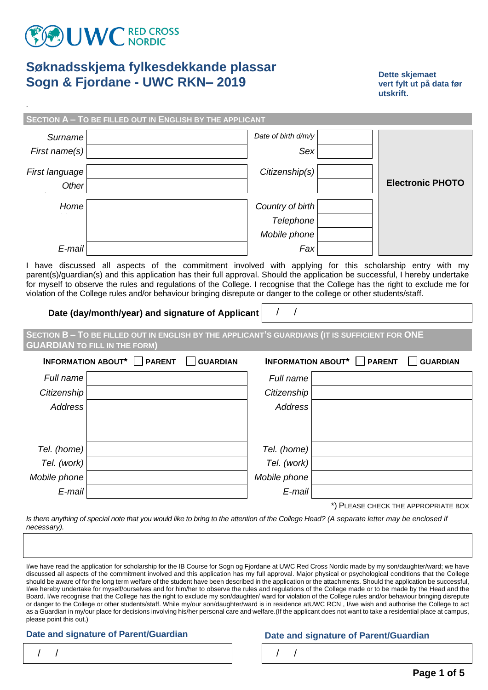

.

# **Søknadsskjema fylkesdekkande plassar Sogn & Fjordane - UWC RKN– 2019**

**Dette skjemaet vert fylt ut på data før utskrift.** 

**SECTION A – TO BE FILLED OUT IN ENGLISH BY THE APPLICANT**

| Dette skjemaet          |  |  |  |  |  |  |
|-------------------------|--|--|--|--|--|--|
| vert fylt ut på data fø |  |  |  |  |  |  |
| utskrift.               |  |  |  |  |  |  |

| Surname        | Date of birth d/m/y |                         |
|----------------|---------------------|-------------------------|
| First name(s)  | Sex                 |                         |
| First language | Citizenship(s)      |                         |
| Other          |                     | <b>Electronic PHOTO</b> |
| Home           | Country of birth    |                         |
|                | Telephone           |                         |
|                | Mobile phone        |                         |
| E-mail         | Fax                 |                         |
|                |                     |                         |

I have discussed all aspects of the commitment involved with applying for this scholarship entry with my parent(s)/guardian(s) and this application has their full approval. Should the application be successful, I hereby undertake for myself to observe the rules and regulations of the College. I recognise that the College has the right to exclude me for violation of the College rules and/or behaviour bringing disrepute or danger to the college or other students/staff.

**Date (day/month/year) and signature of Applicant**  $\vert$  **/ /** 

**SECTION B – TO BE FILLED OUT IN ENGLISH BY THE APPLICANT'S GUARDIANS (IT IS SUFFICIENT FOR ONE GUARDIAN TO FILL IN THE FORM)**

| INFORMATION ABOUT* $\Box$ PARENT<br><b>GUARDIAN</b> |  |              | INFORMATION ABOUT* $\Box$ PARENT<br><b>GUARDIAN</b> |
|-----------------------------------------------------|--|--------------|-----------------------------------------------------|
| Full name                                           |  | Full name    |                                                     |
| Citizenship                                         |  | Citizenship  |                                                     |
| <b>Address</b>                                      |  | Address      |                                                     |
|                                                     |  |              |                                                     |
|                                                     |  |              |                                                     |
| Tel. (home)                                         |  | Tel. (home)  |                                                     |
| Tel. (work)                                         |  | Tel. (work)  |                                                     |
| Mobile phone                                        |  | Mobile phone |                                                     |
| E-mail                                              |  | E-mail       |                                                     |
|                                                     |  |              |                                                     |

\*) PLEASE CHECK THE APPROPRIATE BOX

*Is there anything of special note that you would like to bring to the attention of the College Head? (A separate letter may be enclosed if necessary).*

I/we have read the application for scholarship for the IB Course for Sogn og Fjordane at UWC Red Cross Nordic made by my son/daughter/ward; we have discussed all aspects of the commitment involved and this application has my full approval. Major physical or psychological conditions that the College should be aware of for the long term welfare of the student have been described in the application or the attachments. Should the application be successful, I/we hereby undertake for myself/ourselves and for him/her to observe the rules and regulations of the College made or to be made by the Head and the Board. I/we recognise that the College has the right to exclude my son/daughter/ ward for violation of the College rules and/or behaviour bringing disrepute or danger to the College or other students/staff. While my/our son/daughter/ward is in residence atUWC RCN , I/we wish and authorise the College to act as a Guardian in my/our place for decisions involving his/her personal care and welfare.(If the applicant does not want to take a residential place at campus, please point this out.)

### **Date and signature of Parent/Guardian Date and signature of Parent/Guardian**

| $\frac{1}{2}$ |  |  |  |
|---------------|--|--|--|
|               |  |  |  |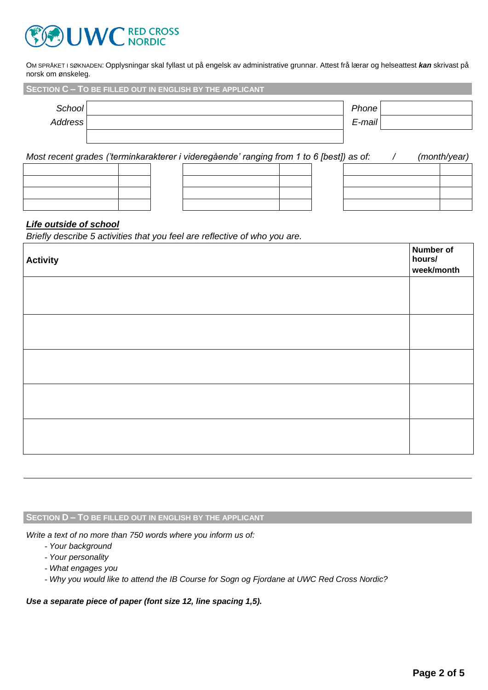

OM SPRÅKET I SØKNADEN: Opplysningar skal fyllast ut på engelsk av administrative grunnar. Attest frå lærar og helseattest *kan* skrivast på norsk om ønskeleg.

|         | SECTION C - TO BE FILLED OUT IN ENGLISH BY THE APPLICANT |           |  |
|---------|----------------------------------------------------------|-----------|--|
| School  |                                                          | Phone     |  |
| Address |                                                          | $E$ -mail |  |
|         |                                                          |           |  |
|         |                                                          |           |  |

*Most recent grades ('terminkarakterer i videregående' ranging from 1 to 6 [best]) as of: / (month/year)*

### *Life outside of school*

*Briefly describe 5 activities that you feel are reflective of who you are.*

| <b>Activity</b> | <b>Number of</b><br>hours/<br>week/month |
|-----------------|------------------------------------------|
|                 |                                          |
|                 |                                          |
|                 |                                          |
|                 |                                          |
|                 |                                          |

### **SECTION D – TO BE FILLED OUT IN ENGLISH BY THE APPLICANT**

*Write a text of no more than 750 words where you inform us of:*

- *Your background*
- *Your personality*
- *What engages you*
- *Why you would like to attend the IB Course for Sogn og Fjordane at UWC Red Cross Nordic?*

*Use a separate piece of paper (font size 12, line spacing 1,5).*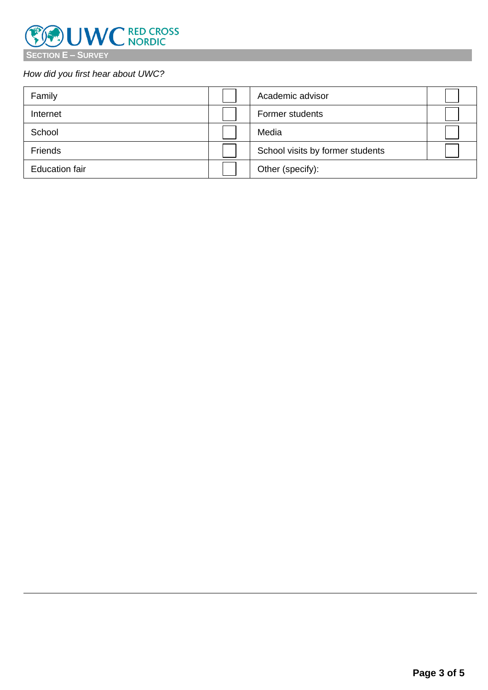

## *How did you first hear about UWC?*

| Family                | Academic advisor                 |  |
|-----------------------|----------------------------------|--|
| Internet              | Former students                  |  |
| School                | Media                            |  |
| Friends               | School visits by former students |  |
| <b>Education fair</b> | Other (specify):                 |  |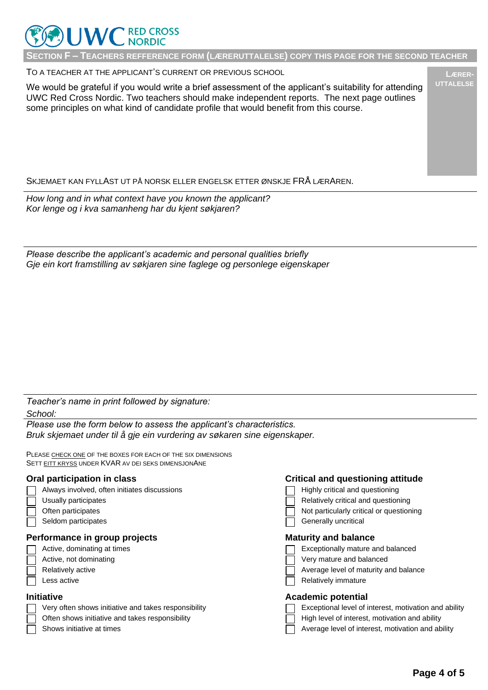

**SECTION F – TEACHERS REFFERENCE FORM (LÆRERUTTALELSE) COPY THIS PAGE FOR THE SECOND TEACHER**

TO A TEACHER AT THE APPLICANT'S CURRENT OR PREVIOUS SCHOOL

We would be grateful if you would write a brief assessment of the applicant's suitability for attending UWC Red Cross Nordic. Two teachers should make independent reports. The next page outlines some principles on what kind of candidate profile that would benefit from this course.

### SKJEMAET KAN FYLLAST UT PÅ NORSK ELLER ENGELSK ETTER ØNSKJE FRÅ LÆRAREN.

*How long and in what context have you known the applicant? Kor lenge og i kva samanheng har du kjent søkjaren?*

*Please describe the applicant's academic and personal qualities briefly Gje ein kort framstilling av søkjaren sine faglege og personlege eigenskaper*

*Teacher's name in print followed by signature: School:*

*Please use the form below to assess the applicant's characteristics. Bruk skjemaet under til å gje ein vurdering av søkaren sine eigenskaper.*

PLEASE CHECK ONE OF THE BOXES FOR EACH OF THE SIX DIMENSIONS SETT EITT KRYSS UNDER KVAR AV DEI SEKS DIMENSJONANE

| Always involved, often initiates discussio |  |
|--------------------------------------------|--|
|--------------------------------------------|--|

- 
- 
- 

### **Performance in group projects Maturity and balance Maturity** and balance

- 
- 
- 
- 

- 
- Often shows initiative and takes responsibility  $\Box$  High level of interest, motivation and ability
- 

### **Oral participation in class Critical and questioning attitude**

- $\Box$  Highly critical and questioning
- Usually participates **Relatively critical and questioning** Relatively critical and questioning
- Often participates **Notice 1** and the participates  $\Box$  Not particularly critical or questioning
- Seldom participates Generally uncritical Contract of Generally uncritical Generally uncritical

- Active, dominating at times Exceptionally mature and balanced
- Active, not dominating and the very mature and balanced very mature and balanced
- Relatively active Average level of maturity and balance Average level of maturity and balance
- Less active **Relatively** immature **Relatively** immature

### **Initiative Academic potential**

- Very often shows initiative and takes responsibility **Exceptional level of interest, motivation and ability** Very
	-
- Shows initiative at times Average level of interest, motivation and ability

**LÆRER-UTTALELSE**